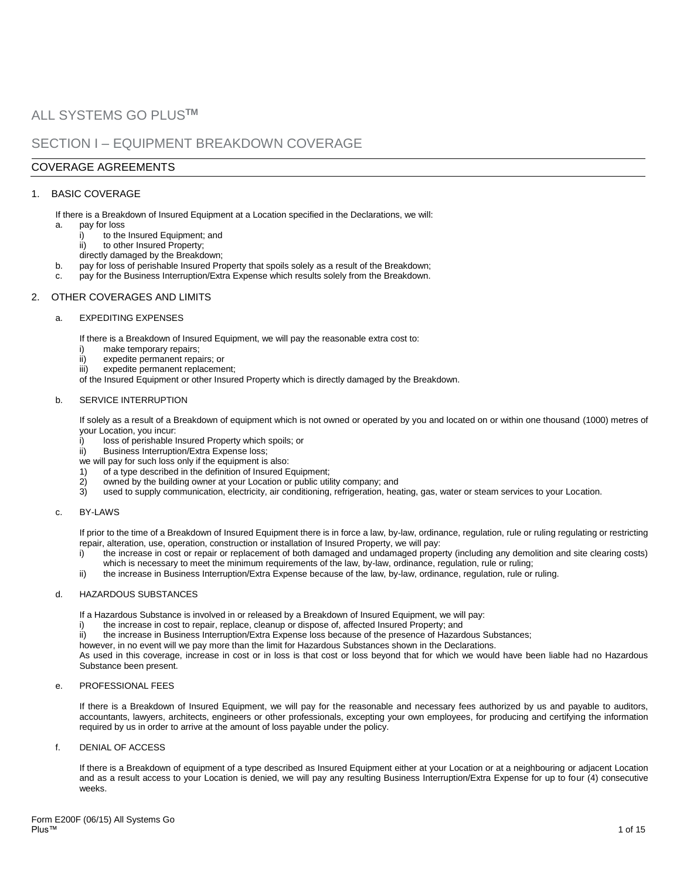# ALL SYSTEMS GO PLUS**TM**

# SECTION I – EQUIPMENT BREAKDOWN COVERAGE

# COVERAGE AGREEMENTS

## 1. BASIC COVERAGE

If there is a Breakdown of Insured Equipment at a Location specified in the Declarations, we will:

- a. pay for loss
	- i) to the Insured Equipment: and
	- ii) to other Insured Property;
	- directly damaged by the Breakdown;
- b. pay for loss of perishable Insured Property that spoils solely as a result of the Breakdown;
- pay for the Business Interruption/Extra Expense which results solely from the Breakdown.

## 2. OTHER COVERAGES AND LIMITS

### a. EXPEDITING EXPENSES

If there is a Breakdown of Insured Equipment, we will pay the reasonable extra cost to:

- i) make temporary repairs;
- ii) expedite permanent repairs; or
- iii) expedite permanent replacement;

of the Insured Equipment or other Insured Property which is directly damaged by the Breakdown.

#### b. SERVICE INTERRUPTION

If solely as a result of a Breakdown of equipment which is not owned or operated by you and located on or within one thousand (1000) metres of your Location, you incur:

- i) loss of perishable Insured Property which spoils; or
- ii) Business Interruption/Extra Expense loss;
- we will pay for such loss only if the equipment is also:
- 1) of a type described in the definition of Insured Equipment;<br>2) owned by the building owner at your Location or public util
- 2) owned by the building owner at your Location or public utility company; and
- 3) used to supply communication, electricity, air conditioning, refrigeration, heating, gas, water or steam services to your Location.

#### c. BY-LAWS

If prior to the time of a Breakdown of Insured Equipment there is in force a law, by-law, ordinance, regulation, rule or ruling regulating or restricting repair, alteration, use, operation, construction or installation of Insured Property, we will pay:

- i) the increase in cost or repair or replacement of both damaged and undamaged property (including any demolition and site clearing costs) which is necessary to meet the minimum requirements of the law, by-law, ordinance, regulation, rule or ruling;
- ii) the increase in Business Interruption/Extra Expense because of the law, by-law, ordinance, regulation, rule or ruling.

#### d. HAZARDOUS SUBSTANCES

If a Hazardous Substance is involved in or released by a Breakdown of Insured Equipment, we will pay:

- i) the increase in cost to repair, replace, cleanup or dispose of, affected Insured Property; and
- ii) the increase in Business Interruption/Extra Expense loss because of the presence of Hazardous Substances;
- however, in no event will we pay more than the limit for Hazardous Substances shown in the Declarations.

As used in this coverage, increase in cost or in loss is that cost or loss beyond that for which we would have been liable had no Hazardous Substance been present.

## e. PROFESSIONAL FEES

If there is a Breakdown of Insured Equipment, we will pay for the reasonable and necessary fees authorized by us and payable to auditors, accountants, lawyers, architects, engineers or other professionals, excepting your own employees, for producing and certifying the information required by us in order to arrive at the amount of loss payable under the policy.

#### f. DENIAL OF ACCESS

If there is a Breakdown of equipment of a type described as Insured Equipment either at your Location or at a neighbouring or adjacent Location and as a result access to your Location is denied, we will pay any resulting Business Interruption/Extra Expense for up to four (4) consecutive weeks.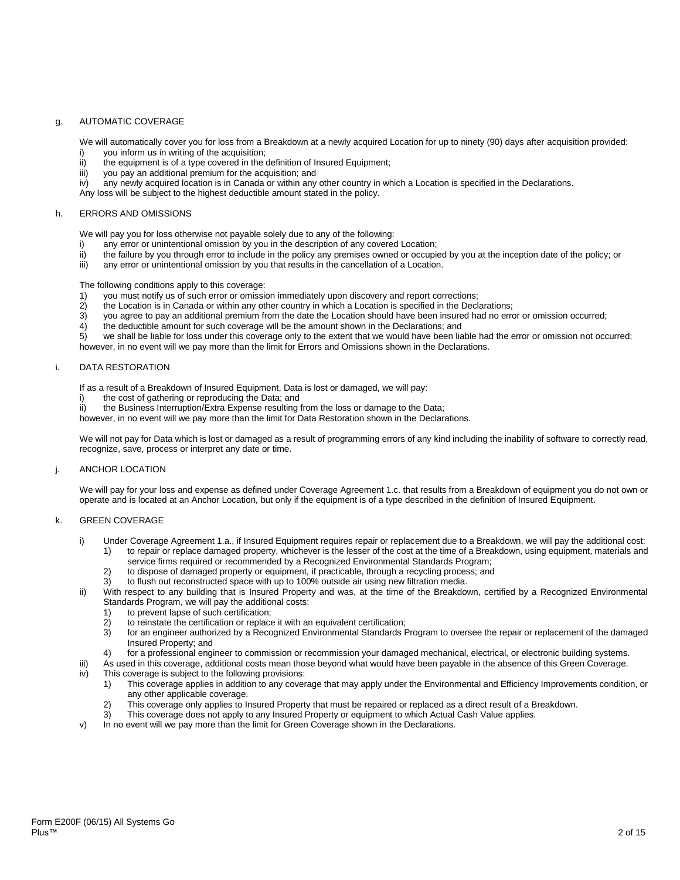## g. AUTOMATIC COVERAGE

We will automatically cover you for loss from a Breakdown at a newly acquired Location for up to ninety (90) days after acquisition provided:

- i) you inform us in writing of the acquisition;
- $\overrightarrow{ii}$  the equipment is of a type covered in the definition of Insured Equipment;
- iii) you pay an additional premium for the acquisition; and  $|v\rangle$  any newly acquired location is in Canada or within any
- any newly acquired location is in Canada or within any other country in which a Location is specified in the Declarations.

Any loss will be subject to the highest deductible amount stated in the policy.

#### h. ERRORS AND OMISSIONS

We will pay you for loss otherwise not payable solely due to any of the following:

- i) any error or unintentional omission by you in the description of any covered Location;<br>ii) the failure by you through error to include in the policy any premises owned or occupic
- ii) the failure by you through error to include in the policy any premises owned or occupied by you at the inception date of the policy; or iii) any error or unintentional omission by you that results in the cancellation o
- any error or unintentional omission by you that results in the cancellation of a Location.

The following conditions apply to this coverage:

- 1) you must notify us of such error or omission immediately upon discovery and report corrections;<br>2) the Location is in Canada or within any other country in which a Location is specified in the Decla
- 2) the Location is in Canada or within any other country in which a Location is specified in the Declarations;
- 3) you agree to pay an additional premium from the date the Location should have been insured had no error or omission occurred;
- $\frac{4}{5}$  the deductible amount for such coverage will be the amount shown in the Declarations; and we shall be liable for loss under this coverage only to the extent that we would have been lia

we shall be liable for loss under this coverage only to the extent that we would have been liable had the error or omission not occurred; however, in no event will we pay more than the limit for Errors and Omissions shown in the Declarations.

#### i. DATA RESTORATION

If as a result of a Breakdown of Insured Equipment, Data is lost or damaged, we will pay:

- i) the cost of gathering or reproducing the Data; and<br>ii) the Business Interruption/Extra Expense resulting
- the Business Interruption/Extra Expense resulting from the loss or damage to the Data;
- however, in no event will we pay more than the limit for Data Restoration shown in the Declarations.

We will not pay for Data which is lost or damaged as a result of programming errors of any kind including the inability of software to correctly read, recognize, save, process or interpret any date or time.

#### j. ANCHOR LOCATION

We will pay for your loss and expense as defined under Coverage Agreement 1.c. that results from a Breakdown of equipment you do not own or operate and is located at an Anchor Location, but only if the equipment is of a type described in the definition of Insured Equipment.

#### k. GREEN COVERAGE

- i) Under Coverage Agreement 1.a., if Insured Equipment requires repair or replacement due to a Breakdown, we will pay the additional cost: 1) to repair or replace damaged property, whichever is the lesser of the cost at the time of a Breakdown, using equipment, materials and
	- service firms required or recommended by a Recognized Environmental Standards Program;
	- 2) to dispose of damaged property or equipment, if practicable, through a recycling process; and
- 3) to flush out reconstructed space with up to 100% outside air using new filtration media. ii) With respect to any building that is Insured Property and was, at the time of the Breakdown, certified by a Recognized Environmental Standards Program, we will pay the additional costs:
	-
	- 1) to prevent lapse of such certification;<br>2) to reinstate the certification or replace to reinstate the certification or replace it with an equivalent certification:
	- 3) for an engineer authorized by a Recognized Environmental Standards Program to oversee the repair or replacement of the damaged Insured Property; and
	- 4) for a professional engineer to commission or recommission your damaged mechanical, electrical, or electronic building systems.
- iii) As used in this coverage, additional costs mean those beyond what would have been payable in the absence of this Green Coverage.
- iv) This coverage is subject to the following provisions:
	- 1) This coverage applies in addition to any coverage that may apply under the Environmental and Efficiency Improvements condition, or any other applicable coverage.
	- 2) This coverage only applies to Insured Property that must be repaired or replaced as a direct result of a Breakdown.
	- 3) This coverage does not apply to any Insured Property or equipment to which Actual Cash Value applies.
- v) In no event will we pay more than the limit for Green Coverage shown in the Declarations.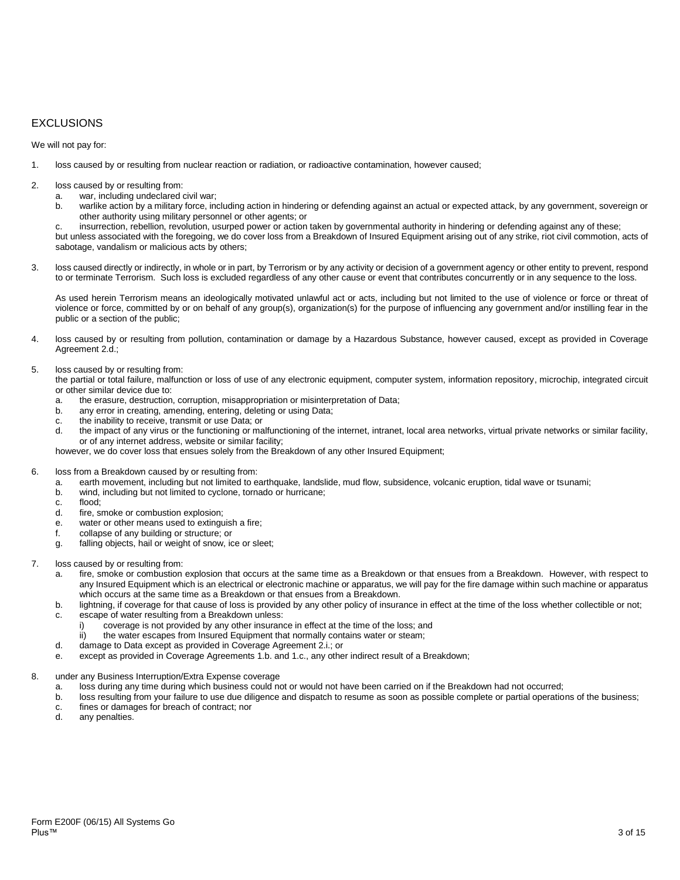# EXCLUSIONS

We will not pay for:

- 1. loss caused by or resulting from nuclear reaction or radiation, or radioactive contamination, however caused;
- 2. loss caused by or resulting from:
	- a. war, including undeclared civil war;
	- b. warlike action by a military force, including action in hindering or defending against an actual or expected attack, by any government, sovereign or other authority using military personnel or other agents; or
	- c. insurrection, rebellion, revolution, usurped power or action taken by governmental authority in hindering or defending against any of these;

but unless associated with the foregoing, we do cover loss from a Breakdown of Insured Equipment arising out of any strike, riot civil commotion, acts of sabotage, vandalism or malicious acts by others;

3. loss caused directly or indirectly, in whole or in part, by Terrorism or by any activity or decision of a government agency or other entity to prevent, respond to or terminate Terrorism. Such loss is excluded regardless of any other cause or event that contributes concurrently or in any sequence to the loss.

As used herein Terrorism means an ideologically motivated unlawful act or acts, including but not limited to the use of violence or force or threat of violence or force, committed by or on behalf of any group(s), organization(s) for the purpose of influencing any government and/or instilling fear in the public or a section of the public;

4. loss caused by or resulting from pollution, contamination or damage by a Hazardous Substance, however caused, except as provided in Coverage Agreement 2.d.;

#### 5. loss caused by or resulting from:

the partial or total failure, malfunction or loss of use of any electronic equipment, computer system, information repository, microchip, integrated circuit or other similar device due to:

- a. the erasure, destruction, corruption, misappropriation or misinterpretation of Data;
- b. any error in creating, amending, entering, deleting or using Data;
- c. the inability to receive, transmit or use Data; or
- d. the impact of any virus or the functioning or malfunctioning of the internet, intranet, local area networks, virtual private networks or similar facility, or of any internet address, website or similar facility;

however, we do cover loss that ensues solely from the Breakdown of any other Insured Equipment;

- 6. loss from a Breakdown caused by or resulting from:
	- a. earth movement, including but not limited to earthquake, landslide, mud flow, subsidence, volcanic eruption, tidal wave or tsunami;
	- b. wind, including but not limited to cyclone, tornado or hurricane;
	- c. flood;
	- d. fire, smoke or combustion explosion;
	- e. water or other means used to extinguish a fire;
	- f. collapse of any building or structure; or
	- g. falling objects, hail or weight of snow, ice or sleet;
- 7. loss caused by or resulting from:
	- a. fire, smoke or combustion explosion that occurs at the same time as a Breakdown or that ensues from a Breakdown. However, with respect to any Insured Equipment which is an electrical or electronic machine or apparatus, we will pay for the fire damage within such machine or apparatus which occurs at the same time as a Breakdown or that ensues from a Breakdown.
	- b. lightning, if coverage for that cause of loss is provided by any other policy of insurance in effect at the time of the loss whether collectible or not;
	- c. escape of water resulting from a Breakdown unless:
		- coverage is not provided by any other insurance in effect at the time of the loss; and
		- ii) the water escapes from Insured Equipment that normally contains water or steam;
	- d. damage to Data except as provided in Coverage Agreement 2.i.; or
	- e. except as provided in Coverage Agreements 1.b. and 1.c., any other indirect result of a Breakdown;
- 8. under any Business Interruption/Extra Expense coverage
	- a. loss during any time during which business could not or would not have been carried on if the Breakdown had not occurred;
	- b. loss resulting from your failure to use due diligence and dispatch to resume as soon as possible complete or partial operations of the business;
	- c. fines or damages for breach of contract; nor
	- any penalties.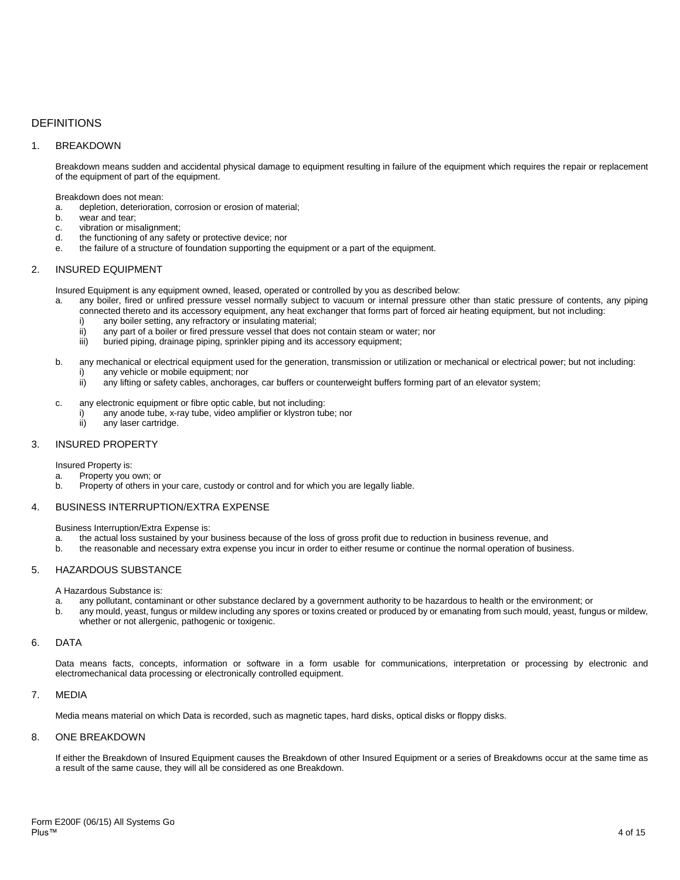# DEFINITIONS

## 1. BREAKDOWN

Breakdown means sudden and accidental physical damage to equipment resulting in failure of the equipment which requires the repair or replacement of the equipment of part of the equipment.

Breakdown does not mean:

- a. depletion, deterioration, corrosion or erosion of material;
- b. wear and tear;
- c. vibration or misalignment;<br>d the functioning of any safe
- the functioning of any safety or protective device; nor
- e. the failure of a structure of foundation supporting the equipment or a part of the equipment.

## 2. INSURED EQUIPMENT

Insured Equipment is any equipment owned, leased, operated or controlled by you as described below:

- a. any boiler, fired or unfired pressure vessel normally subject to vacuum or internal pressure other than static pressure of contents, any piping connected thereto and its accessory equipment, any heat exchanger that forms part of forced air heating equipment, but not including:
	- i) any boiler setting, any refractory or insulating material;<br>ii) any part of a boiler or fired pressure vessel that does n
	- ii) any part of a boiler or fired pressure vessel that does not contain steam or water; nor<br>iii) buried piping, drainage piping, sprinkler piping and its accessory equipment;
	- buried piping, drainage piping, sprinkler piping and its accessory equipment;
- b. any mechanical or electrical equipment used for the generation, transmission or utilization or mechanical or electrical power; but not including:
	- i) any vehicle or mobile equipment; nor
		- ii) any lifting or safety cables, anchorages, car buffers or counterweight buffers forming part of an elevator system;
- c. any electronic equipment or fibre optic cable, but not including:
	- i) any anode tube, x-ray tube, video amplifier or klystron tube; nor<br>ii) any laser cartridge.
		- any laser cartridge.

## 3. INSURED PROPERTY

Insured Property is:

- a. Property you own; or
- b. Property of others in your care, custody or control and for which you are legally liable.

## 4. BUSINESS INTERRUPTION/EXTRA EXPENSE

Business Interruption/Extra Expense is:

- a. the actual loss sustained by your business because of the loss of gross profit due to reduction in business revenue, and
- b. the reasonable and necessary extra expense you incur in order to either resume or continue the normal operation of business.

## 5. HAZARDOUS SUBSTANCE

A Hazardous Substance is:

- a. any pollutant, contaminant or other substance declared by a government authority to be hazardous to health or the environment; or
- any mould, yeast, fungus or mildew including any spores or toxins created or produced by or emanating from such mould, yeast, fungus or mildew, whether or not allergenic, pathogenic or toxigenic.

#### 6. DATA

Data means facts, concepts, information or software in a form usable for communications, interpretation or processing by electronic and electromechanical data processing or electronically controlled equipment.

## 7. MEDIA

Media means material on which Data is recorded, such as magnetic tapes, hard disks, optical disks or floppy disks.

## 8. ONE BREAKDOWN

If either the Breakdown of Insured Equipment causes the Breakdown of other Insured Equipment or a series of Breakdowns occur at the same time as a result of the same cause, they will all be considered as one Breakdown.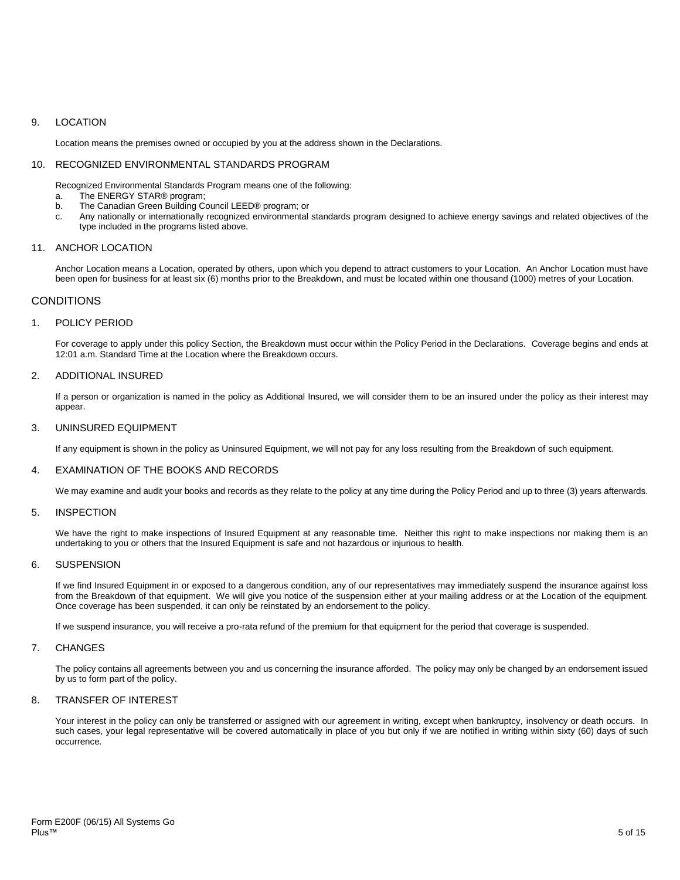## 9. LOCATION

Location means the premises owned or occupied by you at the address shown in the Declarations.

## 10. RECOGNIZED ENVIRONMENTAL STANDARDS PROGRAM

Recognized Environmental Standards Program means one of the following:

- a. The ENERGY STAR® program;
- b. The Canadian Green Building Council LEED® program; or
- c. Any nationally or internationally recognized environmental standards program designed to achieve energy savings and related objectives of the type included in the programs listed above.

## 11. ANCHOR LOCATION

Anchor Location means a Location, operated by others, upon which you depend to attract customers to your Location. An Anchor Location must have been open for business for at least six (6) months prior to the Breakdown, and must be located within one thousand (1000) metres of your Location.

## **CONDITIONS**

#### 1. POLICY PERIOD

For coverage to apply under this policy Section, the Breakdown must occur within the Policy Period in the Declarations. Coverage begins and ends at 12:01 a.m. Standard Time at the Location where the Breakdown occurs.

#### 2. ADDITIONAL INSURED

If a person or organization is named in the policy as Additional Insured, we will consider them to be an insured under the policy as their interest may appear.

#### 3. UNINSURED EQUIPMENT

If any equipment is shown in the policy as Uninsured Equipment, we will not pay for any loss resulting from the Breakdown of such equipment.

### 4. EXAMINATION OF THE BOOKS AND RECORDS

We may examine and audit your books and records as they relate to the policy at any time during the Policy Period and up to three (3) years afterwards.

## 5. INSPECTION

We have the right to make inspections of Insured Equipment at any reasonable time. Neither this right to make inspections nor making them is an undertaking to you or others that the Insured Equipment is safe and not hazardous or injurious to health.

#### 6. SUSPENSION

If we find Insured Equipment in or exposed to a dangerous condition, any of our representatives may immediately suspend the insurance against loss from the Breakdown of that equipment. We will give you notice of the suspension either at your mailing address or at the Location of the equipment. Once coverage has been suspended, it can only be reinstated by an endorsement to the policy.

If we suspend insurance, you will receive a pro-rata refund of the premium for that equipment for the period that coverage is suspended.

### 7. CHANGES

The policy contains all agreements between you and us concerning the insurance afforded. The policy may only be changed by an endorsement issued by us to form part of the policy.

## 8. TRANSFER OF INTEREST

Your interest in the policy can only be transferred or assigned with our agreement in writing, except when bankruptcy, insolvency or death occurs. In such cases, your legal representative will be covered automatically in place of you but only if we are notified in writing within sixty (60) days of such occurrence.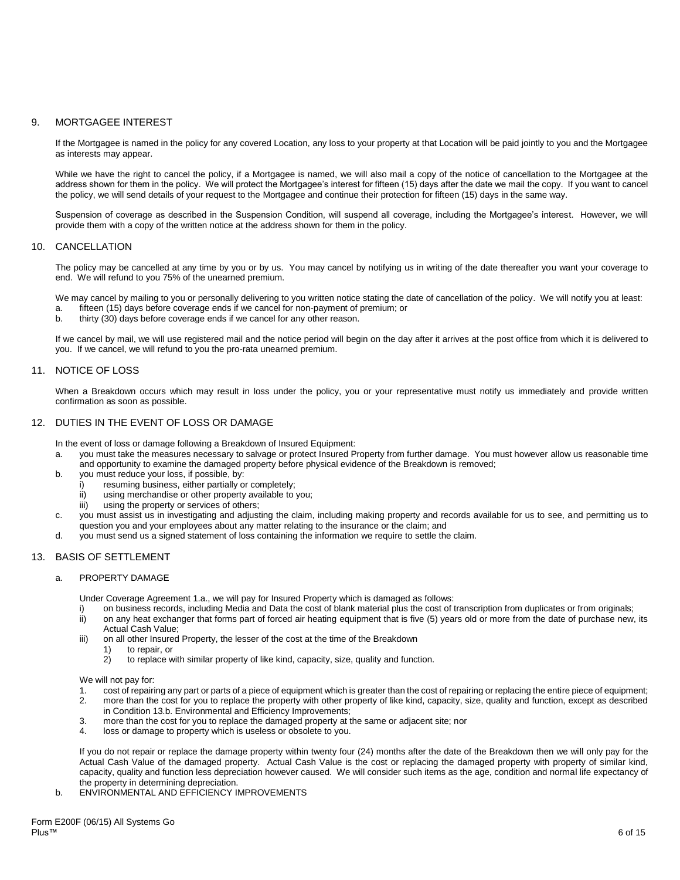## 9. MORTGAGEE INTEREST

If the Mortgagee is named in the policy for any covered Location, any loss to your property at that Location will be paid jointly to you and the Mortgagee as interests may appear.

While we have the right to cancel the policy, if a Mortgagee is named, we will also mail a copy of the notice of cancellation to the Mortgagee at the address shown for them in the policy. We will protect the Mortgagee's interest for fifteen (15) days after the date we mail the copy. If you want to cancel the policy, we will send details of your request to the Mortgagee and continue their protection for fifteen (15) days in the same way.

Suspension of coverage as described in the Suspension Condition, will suspend all coverage, including the Mortgagee's interest. However, we will provide them with a copy of the written notice at the address shown for them in the policy.

## 10. CANCELLATION

The policy may be cancelled at any time by you or by us. You may cancel by notifying us in writing of the date thereafter you want your coverage to end. We will refund to you 75% of the unearned premium.

We may cancel by mailing to you or personally delivering to you written notice stating the date of cancellation of the policy. We will notify you at least: a. fifteen (15) days before coverage ends if we cancel for non-payment of premium; or

b. thirty (30) days before coverage ends if we cancel for any other reason.

If we cancel by mail, we will use registered mail and the notice period will begin on the day after it arrives at the post office from which it is delivered to you. If we cancel, we will refund to you the pro-rata unearned premium.

## 11. NOTICE OF LOSS

When a Breakdown occurs which may result in loss under the policy, you or your representative must notify us immediately and provide written confirmation as soon as possible.

## 12. DUTIES IN THE EVENT OF LOSS OR DAMAGE

In the event of loss or damage following a Breakdown of Insured Equipment:

- a. you must take the measures necessary to salvage or protect Insured Property from further damage. You must however allow us reasonable time and opportunity to examine the damaged property before physical evidence of the Breakdown is removed;
- b. you must reduce your loss, if possible, by:
	- i) resuming business, either partially or completely;
	- ii) using merchandise or other property available to you;
	- iii) using the property or services of others;
- c. you must assist us in investigating and adjusting the claim, including making property and records available for us to see, and permitting us to question you and your employees about any matter relating to the insurance or the claim; and
- d. you must send us a signed statement of loss containing the information we require to settle the claim.

## 13. BASIS OF SETTLEMENT

#### a. PROPERTY DAMAGE

Under Coverage Agreement 1.a., we will pay for Insured Property which is damaged as follows:

- i) on business records, including Media and Data the cost of blank material plus the cost of transcription from duplicates or from originals;<br>ii) on any heat exchanger that forms part of forced air heating equipment that i on any heat exchanger that forms part of forced air heating equipment that is five (5) years old or more from the date of purchase new, its
- Actual Cash Value; iii) on all other Insured Property, the lesser of the cost at the time of the Breakdown
	- 1) to repair, or<br>2) to replace w
	- to replace with similar property of like kind, capacity, size, quality and function.

We will not pay for:

- 1. cost of repairing any part or parts of a piece of equipment which is greater than the cost of repairing or replacing the entire piece of equipment;
- 2. more than the cost for you to replace the property with other property of like kind, capacity, size, quality and function, except as described in Condition 13.b. Environmental and Efficiency Improvements;
- 3. more than the cost for you to replace the damaged property at the same or adjacent site; nor<br>4. loss or damage to property which is useless or obsolete to you.
- loss or damage to property which is useless or obsolete to you.

If you do not repair or replace the damage property within twenty four (24) months after the date of the Breakdown then we will only pay for the Actual Cash Value of the damaged property. Actual Cash Value is the cost or replacing the damaged property with property of similar kind, capacity, quality and function less depreciation however caused. We will consider such items as the age, condition and normal life expectancy of the property in determining depreciation.

b. ENVIRONMENTAL AND EFFICIENCY IMPROVEMENTS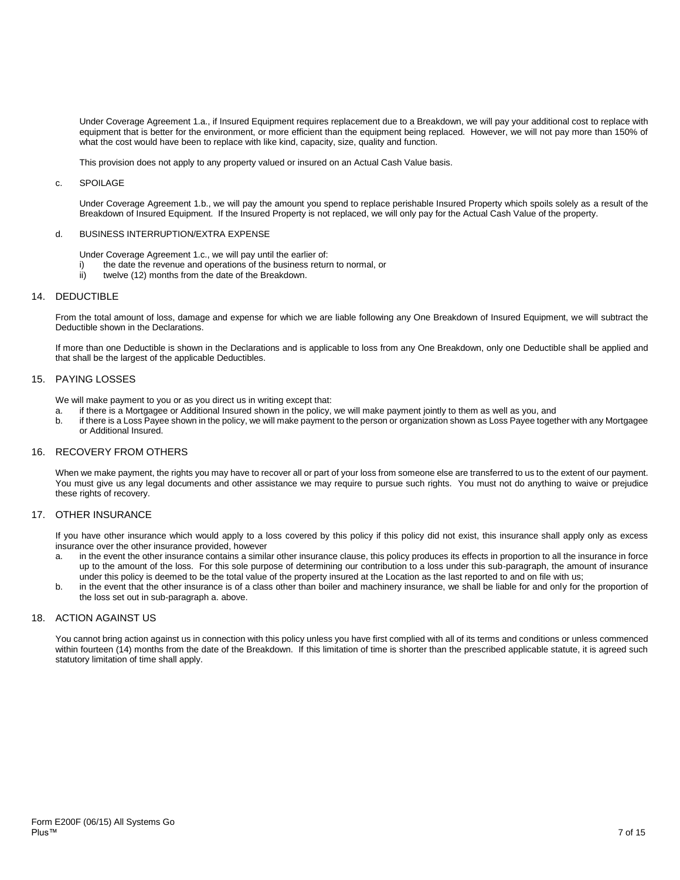Under Coverage Agreement 1.a., if Insured Equipment requires replacement due to a Breakdown, we will pay your additional cost to replace with equipment that is better for the environment, or more efficient than the equipment being replaced. However, we will not pay more than 150% of what the cost would have been to replace with like kind, capacity, size, quality and function.

This provision does not apply to any property valued or insured on an Actual Cash Value basis.

#### c. SPOILAGE

Under Coverage Agreement 1.b., we will pay the amount you spend to replace perishable Insured Property which spoils solely as a result of the Breakdown of Insured Equipment. If the Insured Property is not replaced, we will only pay for the Actual Cash Value of the property.

#### d. BUSINESS INTERRUPTION/EXTRA EXPENSE

- Under Coverage Agreement 1.c., we will pay until the earlier of:
- i) the date the revenue and operations of the business return to normal, or
- ii) twelve (12) months from the date of the Breakdown.

#### 14. DEDUCTIBLE

From the total amount of loss, damage and expense for which we are liable following any One Breakdown of Insured Equipment, we will subtract the Deductible shown in the Declarations.

If more than one Deductible is shown in the Declarations and is applicable to loss from any One Breakdown, only one Deductible shall be applied and that shall be the largest of the applicable Deductibles.

## 15. PAYING LOSSES

We will make payment to you or as you direct us in writing except that:

- a. if there is a Mortgagee or Additional Insured shown in the policy, we will make payment jointly to them as well as you, and
- b. if there is a Loss Payee shown in the policy, we will make payment to the person or organization shown as Loss Payee together with any Mortgagee or Additional Insured.

## 16. RECOVERY FROM OTHERS

When we make payment, the rights you may have to recover all or part of your loss from someone else are transferred to us to the extent of our payment. You must give us any legal documents and other assistance we may require to pursue such rights. You must not do anything to waive or prejudice these rights of recovery.

## 17. OTHER INSURANCE

If you have other insurance which would apply to a loss covered by this policy if this policy did not exist, this insurance shall apply only as excess insurance over the other insurance provided, however

- a. in the event the other insurance contains a similar other insurance clause, this policy produces its effects in proportion to all the insurance in force up to the amount of the loss. For this sole purpose of determining our contribution to a loss under this sub-paragraph, the amount of insurance under this policy is deemed to be the total value of the property insured at the Location as the last reported to and on file with us;
- b. in the event that the other insurance is of a class other than boiler and machinery insurance, we shall be liable for and only for the proportion of the loss set out in sub-paragraph a. above.

## 18. ACTION AGAINST US

You cannot bring action against us in connection with this policy unless you have first complied with all of its terms and conditions or unless commenced within fourteen (14) months from the date of the Breakdown. If this limitation of time is shorter than the prescribed applicable statute, it is agreed such statutory limitation of time shall apply.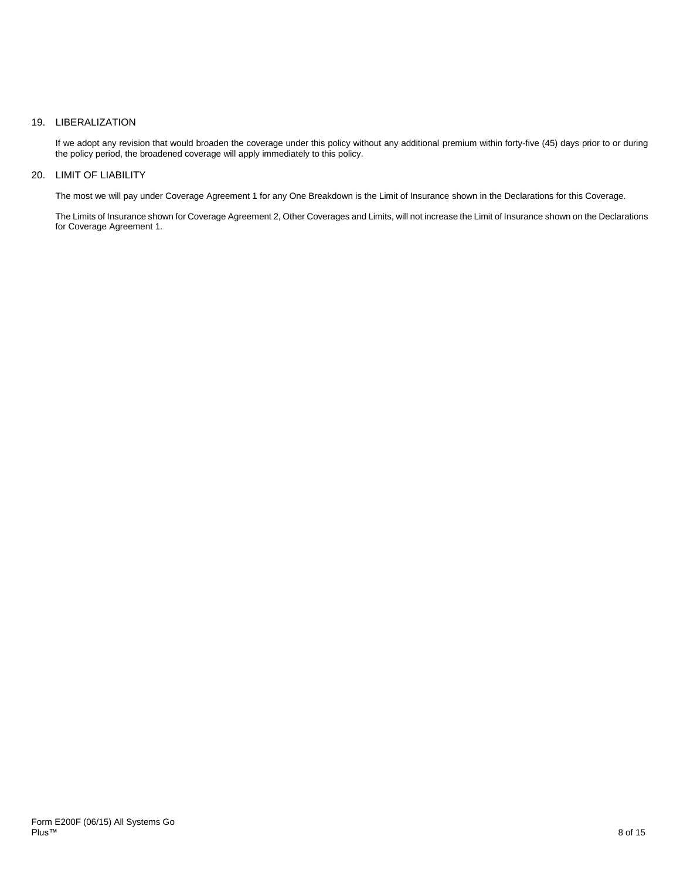## 19. LIBERALIZATION

If we adopt any revision that would broaden the coverage under this policy without any additional premium within forty-five (45) days prior to or during the policy period, the broadened coverage will apply immediately to this policy.

## 20. LIMIT OF LIABILITY

The most we will pay under Coverage Agreement 1 for any One Breakdown is the Limit of Insurance shown in the Declarations for this Coverage.

The Limits of Insurance shown for Coverage Agreement 2, Other Coverages and Limits, will not increase the Limit of Insurance shown on the Declarations for Coverage Agreement 1.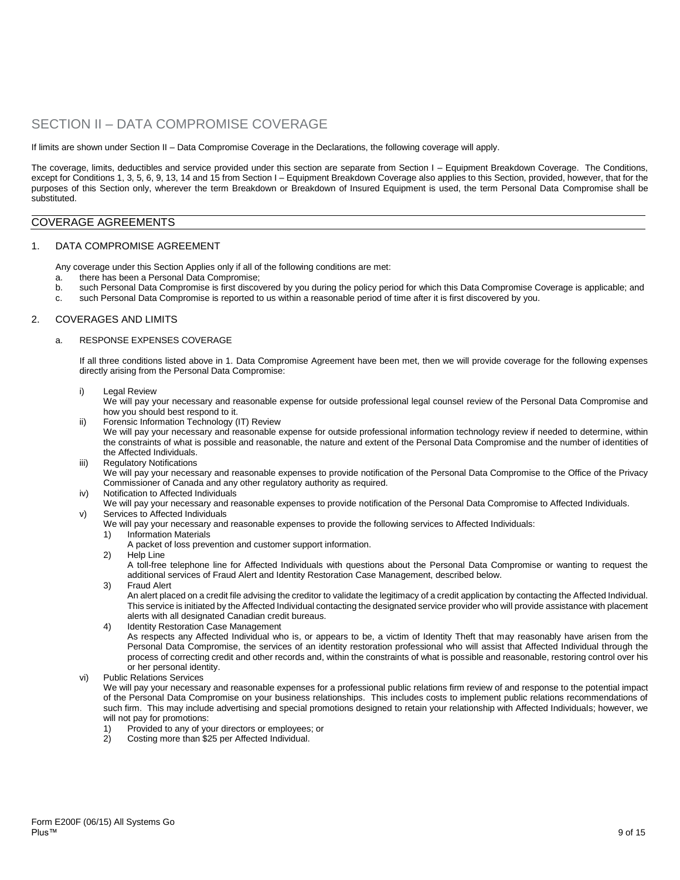# SECTION II – DATA COMPROMISE COVERAGE

If limits are shown under Section II – Data Compromise Coverage in the Declarations, the following coverage will apply.

The coverage, limits, deductibles and service provided under this section are separate from Section I – Equipment Breakdown Coverage. The Conditions, except for Conditions 1, 3, 5, 6, 9, 13, 14 and 15 from Section I – Equipment Breakdown Coverage also applies to this Section, provided, however, that for the purposes of this Section only, wherever the term Breakdown or Breakdown of Insured Equipment is used, the term Personal Data Compromise shall be substituted.

## COVERAGE AGREEMENTS

#### 1. DATA COMPROMISE AGREEMENT

Any coverage under this Section Applies only if all of the following conditions are met:

- a. there has been a Personal Data Compromise;
- b. such Personal Data Compromise is first discovered by you during the policy period for which this Data Compromise Coverage is applicable; and
- c. such Personal Data Compromise is reported to us within a reasonable period of time after it is first discovered by you.

#### 2. COVERAGES AND LIMITS

#### a. RESPONSE EXPENSES COVERAGE

If all three conditions listed above in 1. Data Compromise Agreement have been met, then we will provide coverage for the following expenses directly arising from the Personal Data Compromise:

i) Legal Review

We will pay your necessary and reasonable expense for outside professional legal counsel review of the Personal Data Compromise and how you should best respond to it.

- ii) Forensic Information Technology (IT) Review We will pay your necessary and reasonable expense for outside professional information technology review if needed to determine, within the constraints of what is possible and reasonable, the nature and extent of the Personal Data Compromise and the number of identities of the Affected Individuals.
- iii) Regulatory Notifications
	- We will pay your necessary and reasonable expenses to provide notification of the Personal Data Compromise to the Office of the Privacy Commissioner of Canada and any other regulatory authority as required.
- iv) Notification to Affected Individuals
- We will pay your necessary and reasonable expenses to provide notification of the Personal Data Compromise to Affected Individuals. v) Services to Affected Individuals
	- We will pay your necessary and reasonable expenses to provide the following services to Affected Individuals:
		- 1) Information Materials
			- A packet of loss prevention and customer support information.
		- 2) Help Line

A toll-free telephone line for Affected Individuals with questions about the Personal Data Compromise or wanting to request the additional services of Fraud Alert and Identity Restoration Case Management, described below.

3) Fraud Alert

An alert placed on a credit file advising the creditor to validate the legitimacy of a credit application by contacting the Affected Individual. This service is initiated by the Affected Individual contacting the designated service provider who will provide assistance with placement alerts with all designated Canadian credit bureaus.

- 4) Identity Restoration Case Management As respects any Affected Individual who is, or appears to be, a victim of Identity Theft that may reasonably have arisen from the Personal Data Compromise, the services of an identity restoration professional who will assist that Affected Individual through the process of correcting credit and other records and, within the constraints of what is possible and reasonable, restoring control over his or her personal identity.
- vi) Public Relations Services

We will pay your necessary and reasonable expenses for a professional public relations firm review of and response to the potential impact of the Personal Data Compromise on your business relationships. This includes costs to implement public relations recommendations of such firm. This may include advertising and special promotions designed to retain your relationship with Affected Individuals; however, we will not pay for promotions:

- 1) Provided to any of your directors or employees; or<br>2) Costing more than \$25 per Affected Individual
- 2) Costing more than \$25 per Affected Individual.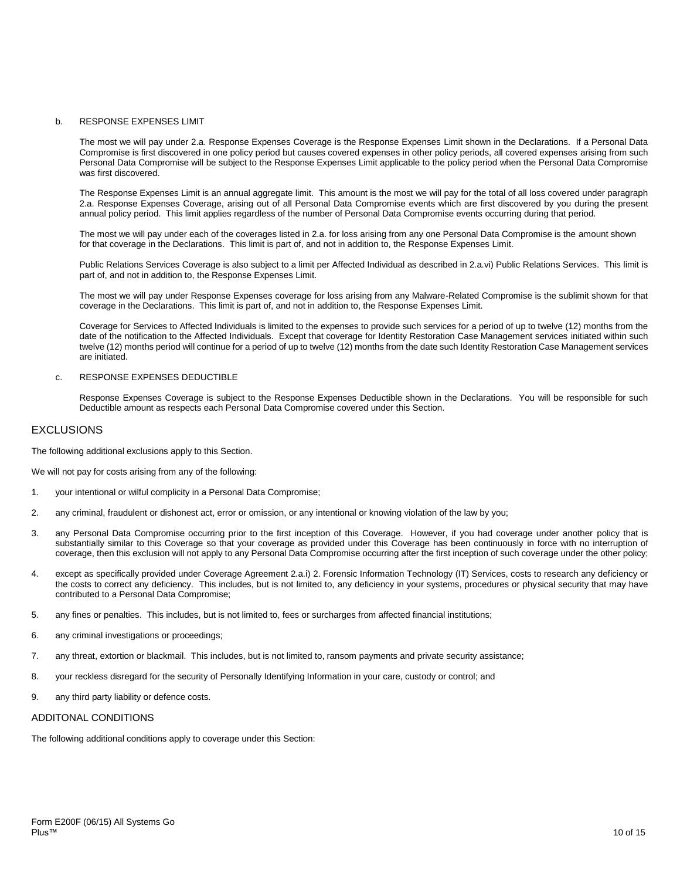## b. RESPONSE EXPENSES LIMIT

The most we will pay under 2.a. Response Expenses Coverage is the Response Expenses Limit shown in the Declarations. If a Personal Data Compromise is first discovered in one policy period but causes covered expenses in other policy periods, all covered expenses arising from such Personal Data Compromise will be subject to the Response Expenses Limit applicable to the policy period when the Personal Data Compromise was first discovered.

The Response Expenses Limit is an annual aggregate limit. This amount is the most we will pay for the total of all loss covered under paragraph 2.a. Response Expenses Coverage, arising out of all Personal Data Compromise events which are first discovered by you during the present annual policy period. This limit applies regardless of the number of Personal Data Compromise events occurring during that period.

The most we will pay under each of the coverages listed in 2.a. for loss arising from any one Personal Data Compromise is the amount shown for that coverage in the Declarations. This limit is part of, and not in addition to, the Response Expenses Limit.

Public Relations Services Coverage is also subject to a limit per Affected Individual as described in 2.a.vi) Public Relations Services. This limit is part of, and not in addition to, the Response Expenses Limit.

The most we will pay under Response Expenses coverage for loss arising from any Malware-Related Compromise is the sublimit shown for that coverage in the Declarations. This limit is part of, and not in addition to, the Response Expenses Limit.

Coverage for Services to Affected Individuals is limited to the expenses to provide such services for a period of up to twelve (12) months from the date of the notification to the Affected Individuals. Except that coverage for Identity Restoration Case Management services initiated within such twelve (12) months period will continue for a period of up to twelve (12) months from the date such Identity Restoration Case Management services are initiated.

#### c. RESPONSE EXPENSES DEDUCTIBLE

Response Expenses Coverage is subject to the Response Expenses Deductible shown in the Declarations. You will be responsible for such Deductible amount as respects each Personal Data Compromise covered under this Section.

# **EXCLUSIONS**

The following additional exclusions apply to this Section.

We will not pay for costs arising from any of the following:

- 1. your intentional or wilful complicity in a Personal Data Compromise;
- 2. any criminal, fraudulent or dishonest act, error or omission, or any intentional or knowing violation of the law by you;
- 3. any Personal Data Compromise occurring prior to the first inception of this Coverage. However, if you had coverage under another policy that is substantially similar to this Coverage so that your coverage as provided under this Coverage has been continuously in force with no interruption of coverage, then this exclusion will not apply to any Personal Data Compromise occurring after the first inception of such coverage under the other policy;
- 4. except as specifically provided under Coverage Agreement 2.a.i) 2. Forensic Information Technology (IT) Services, costs to research any deficiency or the costs to correct any deficiency. This includes, but is not limited to, any deficiency in your systems, procedures or physical security that may have contributed to a Personal Data Compromise;
- 5. any fines or penalties. This includes, but is not limited to, fees or surcharges from affected financial institutions;
- 6. any criminal investigations or proceedings;
- 7. any threat, extortion or blackmail. This includes, but is not limited to, ransom payments and private security assistance;
- 8. your reckless disregard for the security of Personally Identifying Information in your care, custody or control; and
- 9. any third party liability or defence costs.

#### ADDITONAL CONDITIONS

The following additional conditions apply to coverage under this Section: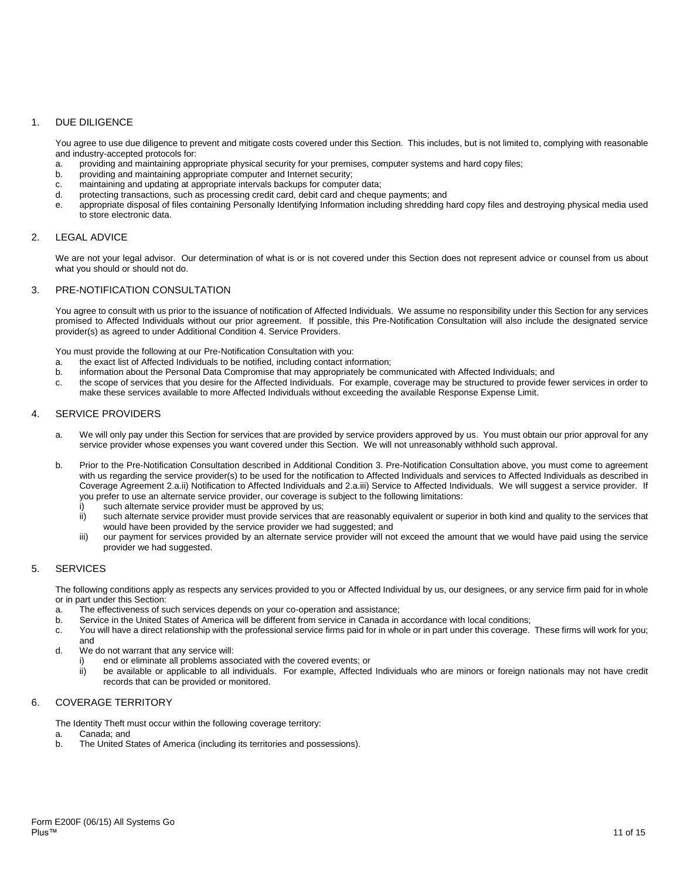# 1. DUE DILIGENCE

You agree to use due diligence to prevent and mitigate costs covered under this Section. This includes, but is not limited to, complying with reasonable and industry-accepted protocols for:

- a. providing and maintaining appropriate physical security for your premises, computer systems and hard copy files;
- b. providing and maintaining appropriate computer and Internet security;
- c. maintaining and updating at appropriate intervals backups for computer data;
- protecting transactions, such as processing credit card, debit card and cheque payments: and
- e. appropriate disposal of files containing Personally Identifying Information including shredding hard copy files and destroying physical media used to store electronic data.

## 2. LEGAL ADVICE

We are not your legal advisor. Our determination of what is or is not covered under this Section does not represent advice or counsel from us about what you should or should not do.

## 3. PRE-NOTIFICATION CONSULTATION

You agree to consult with us prior to the issuance of notification of Affected Individuals. We assume no responsibility under this Section for any services promised to Affected Individuals without our prior agreement. If possible, this Pre-Notification Consultation will also include the designated service provider(s) as agreed to under Additional Condition 4. Service Providers.

You must provide the following at our Pre-Notification Consultation with you:

- a. the exact list of Affected Individuals to be notified, including contact information;
- information about the Personal Data Compromise that may appropriately be communicated with Affected Individuals; and
- c. the scope of services that you desire for the Affected Individuals. For example, coverage may be structured to provide fewer services in order to make these services available to more Affected Individuals without exceeding the available Response Expense Limit.

## 4. SERVICE PROVIDERS

- a. We will only pay under this Section for services that are provided by service providers approved by us. You must obtain our prior approval for any service provider whose expenses you want covered under this Section. We will not unreasonably withhold such approval.
- b. Prior to the Pre-Notification Consultation described in Additional Condition 3. Pre-Notification Consultation above, you must come to agreement with us regarding the service provider(s) to be used for the notification to Affected Individuals and services to Affected Individuals as described in Coverage Agreement 2.a.ii) Notification to Affected Individuals and 2.a.iii) Service to Affected Individuals. We will suggest a service provider. If you prefer to use an alternate service provider, our coverage is subject to the following limitations:
	- i) such alternate service provider must be approved by us;
	- ii) such alternate service provider must provide services that are reasonably equivalent or superior in both kind and quality to the services that would have been provided by the service provider we had suggested; and
	- iii) our payment for services provided by an alternate service provider will not exceed the amount that we would have paid using the service provider we had suggested.

## 5. SERVICES

The following conditions apply as respects any services provided to you or Affected Individual by us, our designees, or any service firm paid for in whole or in part under this Section:

- a. The effectiveness of such services depends on your co-operation and assistance;
- b. Service in the United States of America will be different from service in Canada in accordance with local conditions;
- c. You will have a direct relationship with the professional service firms paid for in whole or in part under this coverage. These firms will work for you; and
- d. We do not warrant that any service will:
	- i) end or eliminate all problems associated with the covered events; or
	- ii) be available or applicable to all individuals. For example, Affected Individuals who are minors or foreign nationals may not have credit records that can be provided or monitored.

### 6. COVERAGE TERRITORY

The Identity Theft must occur within the following coverage territory:<br>a. Canada: and

- Canada; and
- b. The United States of America (including its territories and possessions).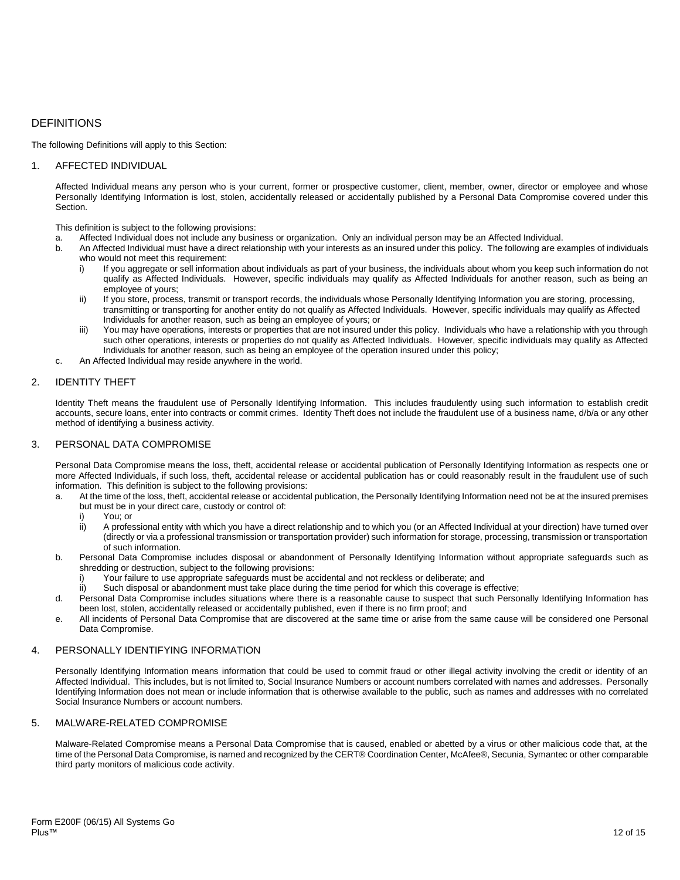# DEFINITIONS

The following Definitions will apply to this Section:

## 1. AFFECTED INDIVIDUAL

Affected Individual means any person who is your current, former or prospective customer, client, member, owner, director or employee and whose Personally Identifying Information is lost, stolen, accidentally released or accidentally published by a Personal Data Compromise covered under this Section.

This definition is subject to the following provisions:<br>a Affected Individual does not include any busing

- Affected Individual does not include any business or organization. Only an individual person may be an Affected Individual.
- b. An Affected Individual must have a direct relationship with your interests as an insured under this policy. The following are examples of individuals who would not meet this requirement:
	- i) If you aggregate or sell information about individuals as part of your business, the individuals about whom you keep such information do not qualify as Affected Individuals. However, specific individuals may qualify as Affected Individuals for another reason, such as being an employee of yours;
	- ii) If you store, process, transmit or transport records, the individuals whose Personally Identifying Information you are storing, processing, transmitting or transporting for another entity do not qualify as Affected Individuals. However, specific individuals may qualify as Affected Individuals for another reason, such as being an employee of yours; or
	- iii) You may have operations, interests or properties that are not insured under this policy. Individuals who have a relationship with you through such other operations, interests or properties do not qualify as Affected Individuals. However, specific individuals may qualify as Affected Individuals for another reason, such as being an employee of the operation insured under this policy;
- c. An Affected Individual may reside anywhere in the world.

## 2. IDENTITY THEFT

Identity Theft means the fraudulent use of Personally Identifying Information. This includes fraudulently using such information to establish credit accounts, secure loans, enter into contracts or commit crimes. Identity Theft does not include the fraudulent use of a business name, d/b/a or any other method of identifying a business activity.

## 3. PERSONAL DATA COMPROMISE

Personal Data Compromise means the loss, theft, accidental release or accidental publication of Personally Identifying Information as respects one or more Affected Individuals, if such loss, theft, accidental release or accidental publication has or could reasonably result in the fraudulent use of such information. This definition is subject to the following provisions:

- a. At the time of the loss, theft, accidental release or accidental publication, the Personally Identifying Information need not be at the insured premises but must be in your direct care, custody or control of:
	- i) You; or
	- ii) A professional entity with which you have a direct relationship and to which you (or an Affected Individual at your direction) have turned over (directly or via a professional transmission or transportation provider) such information for storage, processing, transmission or transportation of such information.
- b. Personal Data Compromise includes disposal or abandonment of Personally Identifying Information without appropriate safeguards such as shredding or destruction, subject to the following provisions:
	- i) Your failure to use appropriate safeguards must be accidental and not reckless or deliberate; and
	- ii) Such disposal or abandonment must take place during the time period for which this coverage is effective;
- d. Personal Data Compromise includes situations where there is a reasonable cause to suspect that such Personally Identifying Information has been lost, stolen, accidentally released or accidentally published, even if there is no firm proof; and
- e. All incidents of Personal Data Compromise that are discovered at the same time or arise from the same cause will be considered one Personal Data Compromise.

## 4. PERSONALLY IDENTIFYING INFORMATION

Personally Identifying Information means information that could be used to commit fraud or other illegal activity involving the credit or identity of an Affected Individual. This includes, but is not limited to, Social Insurance Numbers or account numbers correlated with names and addresses. Personally Identifying Information does not mean or include information that is otherwise available to the public, such as names and addresses with no correlated Social Insurance Numbers or account numbers.

## 5. MALWARE-RELATED COMPROMISE

Malware-Related Compromise means a Personal Data Compromise that is caused, enabled or abetted by a virus or other malicious code that, at the time of the Personal Data Compromise, is named and recognized by the CERT® Coordination Center, McAfee®, Secunia, Symantec or other comparable third party monitors of malicious code activity.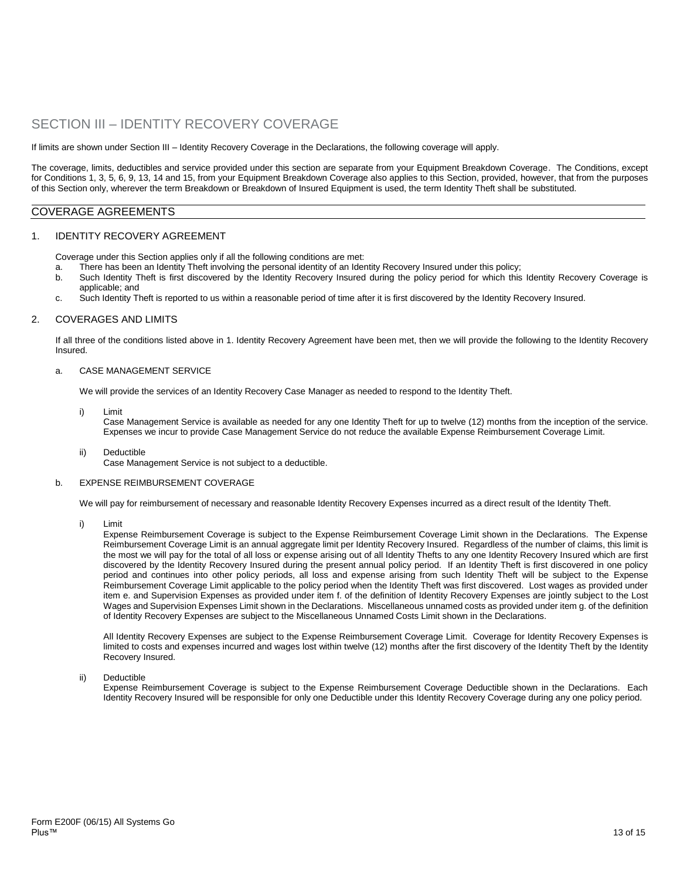# SECTION III – IDENTITY RECOVERY COVERAGE

If limits are shown under Section III – Identity Recovery Coverage in the Declarations, the following coverage will apply.

The coverage, limits, deductibles and service provided under this section are separate from your Equipment Breakdown Coverage. The Conditions, except for Conditions 1, 3, 5, 6, 9, 13, 14 and 15, from your Equipment Breakdown Coverage also applies to this Section, provided, however, that from the purposes of this Section only, wherever the term Breakdown or Breakdown of Insured Equipment is used, the term Identity Theft shall be substituted.

## COVERAGE AGREEMENTS

#### 1. IDENTITY RECOVERY AGREEMENT

Coverage under this Section applies only if all the following conditions are met:

- a. There has been an Identity Theft involving the personal identity of an Identity Recovery Insured under this policy;
- b. Such Identity Theft is first discovered by the Identity Recovery Insured during the policy period for which this Identity Recovery Coverage is applicable; and
- c. Such Identity Theft is reported to us within a reasonable period of time after it is first discovered by the Identity Recovery Insured.

#### 2. COVERAGES AND LIMITS

If all three of the conditions listed above in 1. Identity Recovery Agreement have been met, then we will provide the following to the Identity Recovery Insured.

#### a. CASE MANAGEMENT SERVICE

We will provide the services of an Identity Recovery Case Manager as needed to respond to the Identity Theft.

i) Limit

Case Management Service is available as needed for any one Identity Theft for up to twelve (12) months from the inception of the service. Expenses we incur to provide Case Management Service do not reduce the available Expense Reimbursement Coverage Limit.

ii) Deductible Case Management Service is not subject to a deductible.

#### b. EXPENSE REIMBURSEMENT COVERAGE

We will pay for reimbursement of necessary and reasonable Identity Recovery Expenses incurred as a direct result of the Identity Theft.

i) Limit

Expense Reimbursement Coverage is subject to the Expense Reimbursement Coverage Limit shown in the Declarations. The Expense Reimbursement Coverage Limit is an annual aggregate limit per Identity Recovery Insured. Regardless of the number of claims, this limit is the most we will pay for the total of all loss or expense arising out of all Identity Thefts to any one Identity Recovery Insured which are first discovered by the Identity Recovery Insured during the present annual policy period. If an Identity Theft is first discovered in one policy period and continues into other policy periods, all loss and expense arising from such Identity Theft will be subject to the Expense Reimbursement Coverage Limit applicable to the policy period when the Identity Theft was first discovered. Lost wages as provided under item e. and Supervision Expenses as provided under item f. of the definition of Identity Recovery Expenses are jointly subject to the Lost Wages and Supervision Expenses Limit shown in the Declarations. Miscellaneous unnamed costs as provided under item g. of the definition of Identity Recovery Expenses are subject to the Miscellaneous Unnamed Costs Limit shown in the Declarations.

All Identity Recovery Expenses are subject to the Expense Reimbursement Coverage Limit. Coverage for Identity Recovery Expenses is limited to costs and expenses incurred and wages lost within twelve (12) months after the first discovery of the Identity Theft by the Identity Recovery Insured.

ii) Deductible

Expense Reimbursement Coverage is subject to the Expense Reimbursement Coverage Deductible shown in the Declarations. Each Identity Recovery Insured will be responsible for only one Deductible under this Identity Recovery Coverage during any one policy period.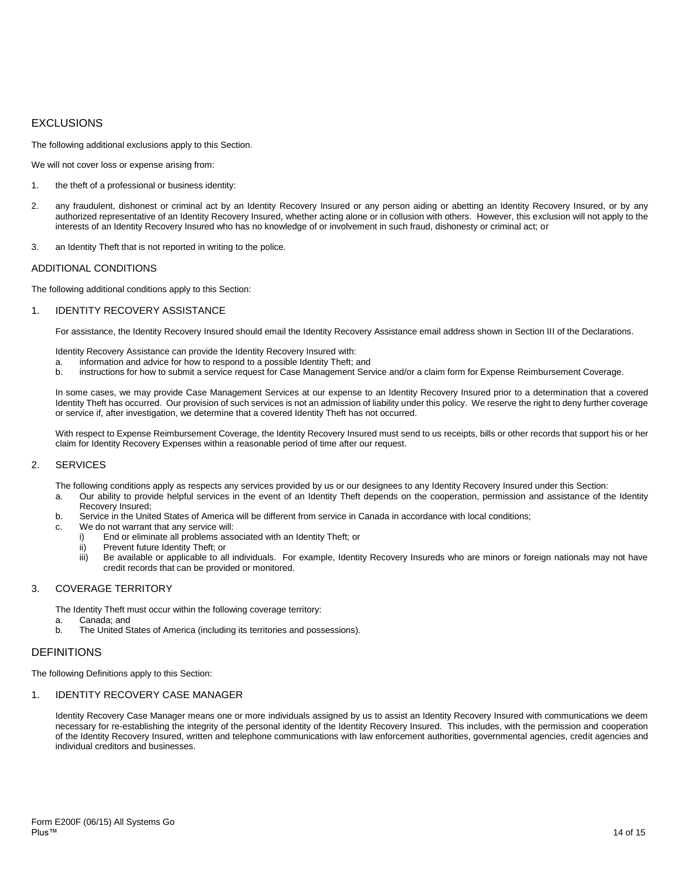# EXCLUSIONS

The following additional exclusions apply to this Section.

We will not cover loss or expense arising from:

- 1. the theft of a professional or business identity:
- 2. any fraudulent, dishonest or criminal act by an Identity Recovery Insured or any person aiding or abetting an Identity Recovery Insured, or by any authorized representative of an Identity Recovery Insured, whether acting alone or in collusion with others. However, this exclusion will not apply to the interests of an Identity Recovery Insured who has no knowledge of or involvement in such fraud, dishonesty or criminal act; or
- 3. an Identity Theft that is not reported in writing to the police.

### ADDITIONAL CONDITIONS

The following additional conditions apply to this Section:

#### 1. IDENTITY RECOVERY ASSISTANCE

For assistance, the Identity Recovery Insured should email the Identity Recovery Assistance email address shown in Section III of the Declarations.

Identity Recovery Assistance can provide the Identity Recovery Insured with:

- a. information and advice for how to respond to a possible Identity Theft; and
- instructions for how to submit a service request for Case Management Service and/or a claim form for Expense Reimbursement Coverage.

In some cases, we may provide Case Management Services at our expense to an Identity Recovery Insured prior to a determination that a covered Identity Theft has occurred. Our provision of such services is not an admission of liability under this policy. We reserve the right to deny further coverage or service if, after investigation, we determine that a covered Identity Theft has not occurred.

With respect to Expense Reimbursement Coverage, the Identity Recovery Insured must send to us receipts, bills or other records that support his or her claim for Identity Recovery Expenses within a reasonable period of time after our request.

## 2. SERVICES

The following conditions apply as respects any services provided by us or our designees to any Identity Recovery Insured under this Section:

- a. Our ability to provide helpful services in the event of an Identity Theft depends on the cooperation, permission and assistance of the Identity Recovery Insured;
- b. Service in the United States of America will be different from service in Canada in accordance with local conditions;
- c. We do not warrant that any service will:
	- i) End or eliminate all problems associated with an Identity Theft; or
	- ii) Prevent future Identity Theft; or
	- iii) Be available or applicable to all individuals. For example, Identity Recovery Insureds who are minors or foreign nationals may not have credit records that can be provided or monitored.

#### 3. COVERAGE TERRITORY

The Identity Theft must occur within the following coverage territory:

a. Canada; and b. The United States of America (including its territories and possessions).

## DEFINITIONS

The following Definitions apply to this Section:

# 1. IDENTITY RECOVERY CASE MANAGER

Identity Recovery Case Manager means one or more individuals assigned by us to assist an Identity Recovery Insured with communications we deem necessary for re-establishing the integrity of the personal identity of the Identity Recovery Insured. This includes, with the permission and cooperation of the Identity Recovery Insured, written and telephone communications with law enforcement authorities, governmental agencies, credit agencies and individual creditors and businesses.